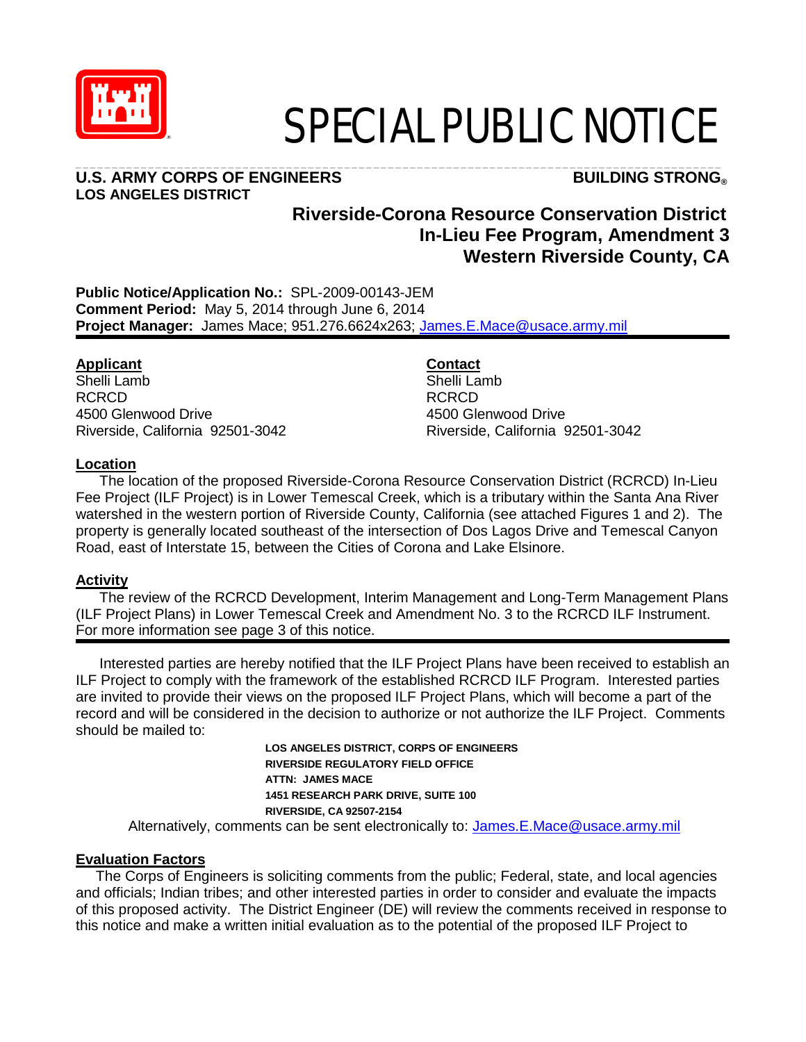

# SPECIAL PUBLIC NOTICE

#### **U.S. ARMY CORPS OF ENGINEERS BUILDING STRONG® LOS ANGELES DISTRICT**

## \_\_\_\_\_\_\_\_\_\_\_\_\_\_\_\_\_\_\_\_\_\_\_\_\_\_\_\_\_\_\_\_\_\_\_\_\_\_\_\_\_\_\_\_\_\_\_\_\_\_\_\_\_\_\_\_\_\_\_\_\_\_\_\_\_\_\_\_\_\_\_\_\_\_\_\_\_\_\_\_\_\_\_\_\_\_\_\_\_

### **Riverside-Corona Resource Conservation District In-Lieu Fee Program, Amendment 3 Western Riverside County, CA**

**Public Notice/Application No.:** SPL-2009-00143-JEM **Comment Period:** May 5, 2014 through June 6, 2014 **Project Manager:** James Mace; 951.276.6624x263; [James.E.Mace@usace.army.mil](mailto:James.E.Mace@usace.army.mil)

#### **Applicant**

Shelli Lamb RCRCD 4500 Glenwood Drive Riverside, California 92501-3042

#### **Contact**

Shelli Lamb RCRCD 4500 Glenwood Drive Riverside, California 92501-3042

#### **Location**

The location of the proposed Riverside-Corona Resource Conservation District (RCRCD) In-Lieu Fee Project (ILF Project) is in Lower Temescal Creek, which is a tributary within the Santa Ana River watershed in the western portion of Riverside County, California (see attached Figures 1 and 2). The property is generally located southeast of the intersection of Dos Lagos Drive and Temescal Canyon Road, east of Interstate 15, between the Cities of Corona and Lake Elsinore.

#### **Activity**

The review of the RCRCD Development, Interim Management and Long-Term Management Plans (ILF Project Plans) in Lower Temescal Creek and Amendment No. 3 to the RCRCD ILF Instrument. For more information see page 3 of this notice.

Interested parties are hereby notified that the ILF Project Plans have been received to establish an ILF Project to comply with the framework of the established RCRCD ILF Program. Interested parties are invited to provide their views on the proposed ILF Project Plans, which will become a part of the record and will be considered in the decision to authorize or not authorize the ILF Project. Comments should be mailed to:

> **LOS ANGELES DISTRICT, CORPS OF ENGINEERS RIVERSIDE REGULATORY FIELD OFFICE ATTN: JAMES MACE 1451 RESEARCH PARK DRIVE, SUITE 100 RIVERSIDE, CA 92507-2154**

Alternatively, comments can be sent electronically to: [James.E.Mace@usace.army.mil](mailto:James.E.Mace@usace.army.mil)

#### **Evaluation Factors**

 The Corps of Engineers is soliciting comments from the public; Federal, state, and local agencies and officials; Indian tribes; and other interested parties in order to consider and evaluate the impacts of this proposed activity. The District Engineer (DE) will review the comments received in response to this notice and make a written initial evaluation as to the potential of the proposed ILF Project to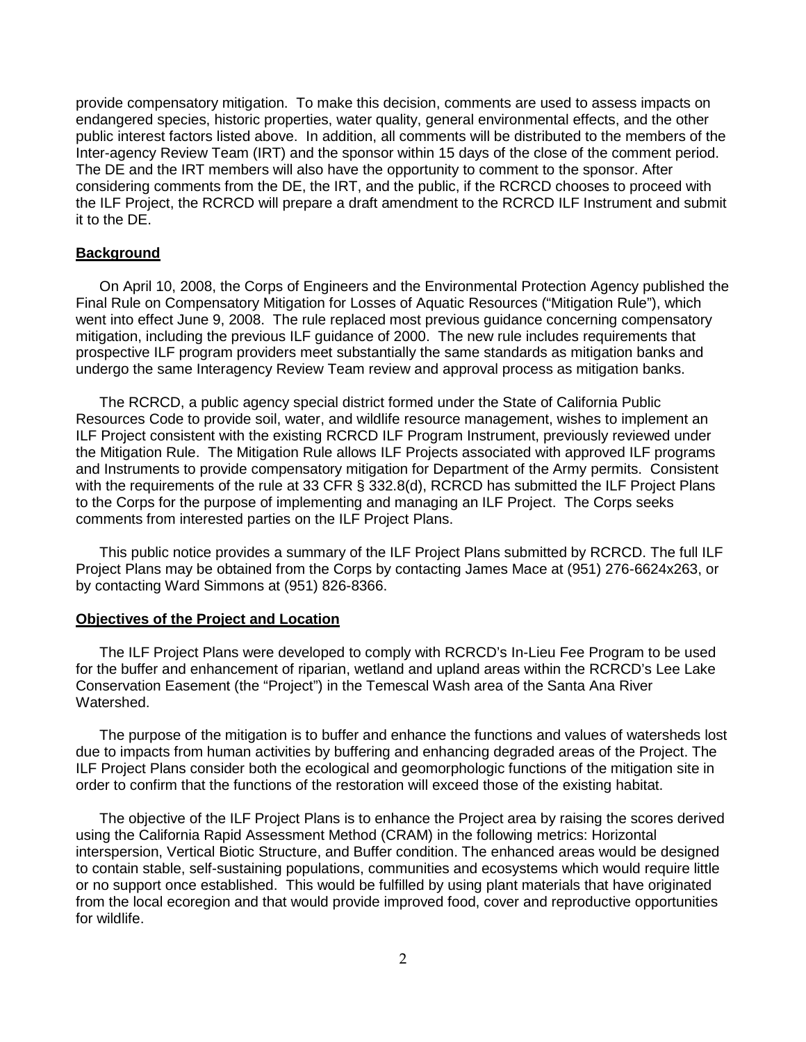provide compensatory mitigation. To make this decision, comments are used to assess impacts on endangered species, historic properties, water quality, general environmental effects, and the other public interest factors listed above. In addition, all comments will be distributed to the members of the Inter-agency Review Team (IRT) and the sponsor within 15 days of the close of the comment period. The DE and the IRT members will also have the opportunity to comment to the sponsor. After considering comments from the DE, the IRT, and the public, if the RCRCD chooses to proceed with the ILF Project, the RCRCD will prepare a draft amendment to the RCRCD ILF Instrument and submit it to the DE.

#### **Background**

On April 10, 2008, the Corps of Engineers and the Environmental Protection Agency published the Final Rule on Compensatory Mitigation for Losses of Aquatic Resources ("Mitigation Rule"), which went into effect June 9, 2008. The rule replaced most previous guidance concerning compensatory mitigation, including the previous ILF guidance of 2000. The new rule includes requirements that prospective ILF program providers meet substantially the same standards as mitigation banks and undergo the same Interagency Review Team review and approval process as mitigation banks.

The RCRCD, a public agency special district formed under the State of California Public Resources Code to provide soil, water, and wildlife resource management, wishes to implement an ILF Project consistent with the existing RCRCD ILF Program Instrument, previously reviewed under the Mitigation Rule. The Mitigation Rule allows ILF Projects associated with approved ILF programs and Instruments to provide compensatory mitigation for Department of the Army permits. Consistent with the requirements of the rule at 33 CFR § 332.8(d), RCRCD has submitted the ILF Project Plans to the Corps for the purpose of implementing and managing an ILF Project. The Corps seeks comments from interested parties on the ILF Project Plans.

This public notice provides a summary of the ILF Project Plans submitted by RCRCD. The full ILF Project Plans may be obtained from the Corps by contacting James Mace at (951) 276-6624x263, or by contacting Ward Simmons at (951) 826-8366.

#### **Objectives of the Project and Location**

The ILF Project Plans were developed to comply with RCRCD's In-Lieu Fee Program to be used for the buffer and enhancement of riparian, wetland and upland areas within the RCRCD's Lee Lake Conservation Easement (the "Project") in the Temescal Wash area of the Santa Ana River Watershed.

The purpose of the mitigation is to buffer and enhance the functions and values of watersheds lost due to impacts from human activities by buffering and enhancing degraded areas of the Project. The ILF Project Plans consider both the ecological and geomorphologic functions of the mitigation site in order to confirm that the functions of the restoration will exceed those of the existing habitat.

The objective of the ILF Project Plans is to enhance the Project area by raising the scores derived using the California Rapid Assessment Method (CRAM) in the following metrics: Horizontal interspersion, Vertical Biotic Structure, and Buffer condition. The enhanced areas would be designed to contain stable, self-sustaining populations, communities and ecosystems which would require little or no support once established. This would be fulfilled by using plant materials that have originated from the local ecoregion and that would provide improved food, cover and reproductive opportunities for wildlife.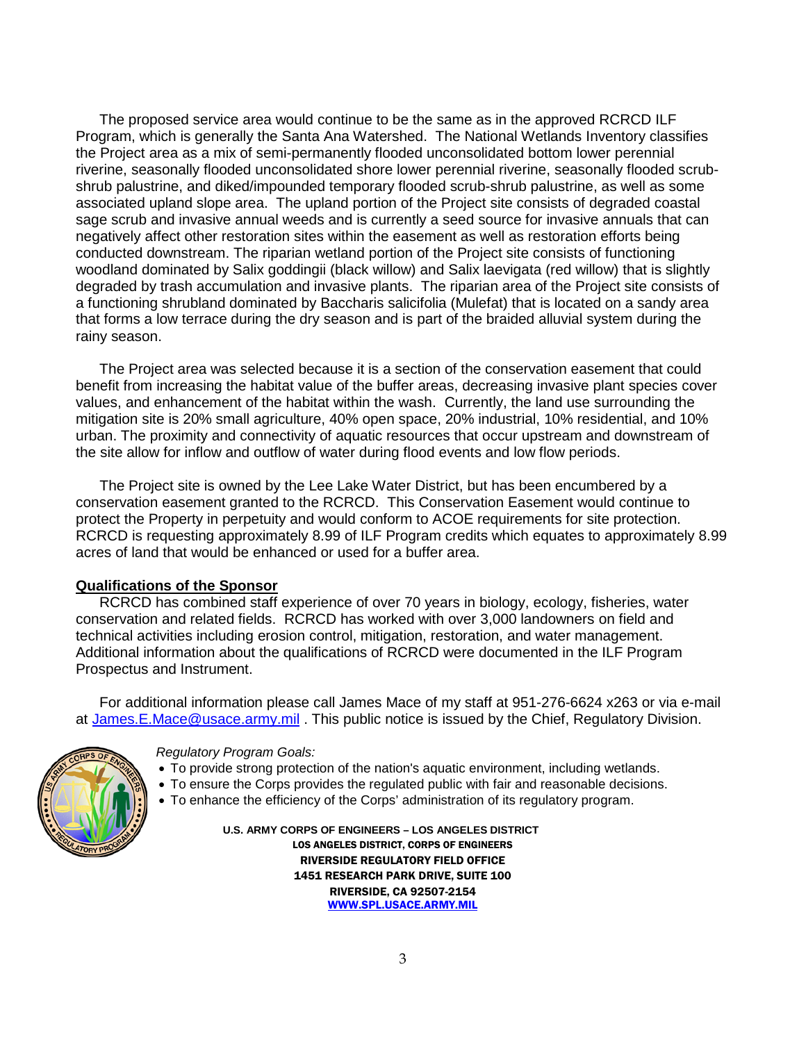The proposed service area would continue to be the same as in the approved RCRCD ILF Program, which is generally the Santa Ana Watershed. The National Wetlands Inventory classifies the Project area as a mix of semi-permanently flooded unconsolidated bottom lower perennial riverine, seasonally flooded unconsolidated shore lower perennial riverine, seasonally flooded scrubshrub palustrine, and diked/impounded temporary flooded scrub-shrub palustrine, as well as some associated upland slope area. The upland portion of the Project site consists of degraded coastal sage scrub and invasive annual weeds and is currently a seed source for invasive annuals that can negatively affect other restoration sites within the easement as well as restoration efforts being conducted downstream. The riparian wetland portion of the Project site consists of functioning woodland dominated by Salix goddingii (black willow) and Salix laevigata (red willow) that is slightly degraded by trash accumulation and invasive plants. The riparian area of the Project site consists of a functioning shrubland dominated by Baccharis salicifolia (Mulefat) that is located on a sandy area that forms a low terrace during the dry season and is part of the braided alluvial system during the rainy season.

The Project area was selected because it is a section of the conservation easement that could benefit from increasing the habitat value of the buffer areas, decreasing invasive plant species cover values, and enhancement of the habitat within the wash. Currently, the land use surrounding the mitigation site is 20% small agriculture, 40% open space, 20% industrial, 10% residential, and 10% urban. The proximity and connectivity of aquatic resources that occur upstream and downstream of the site allow for inflow and outflow of water during flood events and low flow periods.

The Project site is owned by the Lee Lake Water District, but has been encumbered by a conservation easement granted to the RCRCD. This Conservation Easement would continue to protect the Property in perpetuity and would conform to ACOE requirements for site protection. RCRCD is requesting approximately 8.99 of ILF Program credits which equates to approximately 8.99 acres of land that would be enhanced or used for a buffer area.

#### **Qualifications of the Sponsor**

RCRCD has combined staff experience of over 70 years in biology, ecology, fisheries, water conservation and related fields. RCRCD has worked with over 3,000 landowners on field and technical activities including erosion control, mitigation, restoration, and water management. Additional information about the qualifications of RCRCD were documented in the ILF Program Prospectus and Instrument.

For additional information please call James Mace of my staff at 951-276-6624 x263 or via e-mail at [James.E.Mace@usace.army.mil](mailto:James.E.Mace@usace.army.mil) . This public notice is issued by the Chief, Regulatory Division.



#### *Regulatory Program Goals:*

- To provide strong protection of the nation's aquatic environment, including wetlands.
- To ensure the Corps provides the regulated public with fair and reasonable decisions.
- To enhance the efficiency of the Corps' administration of its regulatory program.

 **U.S. ARMY CORPS OF ENGINEERS – LOS ANGELES DISTRICT** LOS ANGELES DISTRICT, CORPS OF ENGINEERS RIVERSIDE REGULATORY FIELD OFFICE 1451 RESEARCH PARK DRIVE, SUITE 100 RIVERSIDE, CA 92507-2154 [WWW.SPL.USACE.ARMY.MIL](http://www.spl.usace.army.mil/)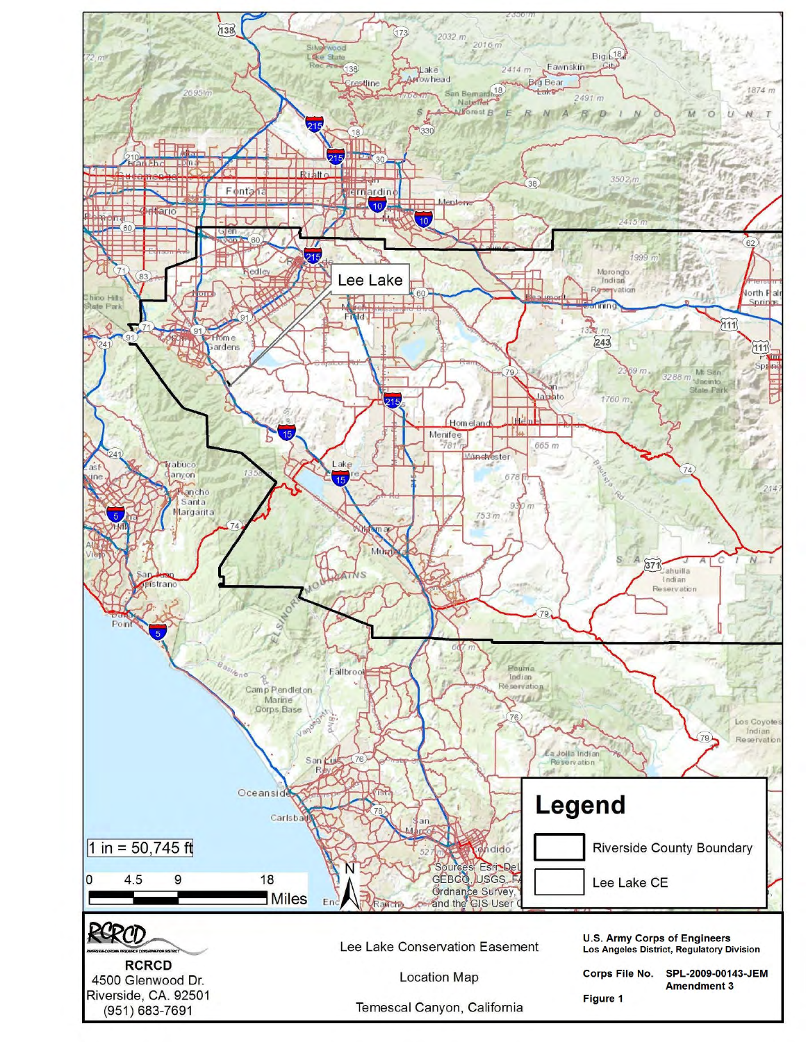